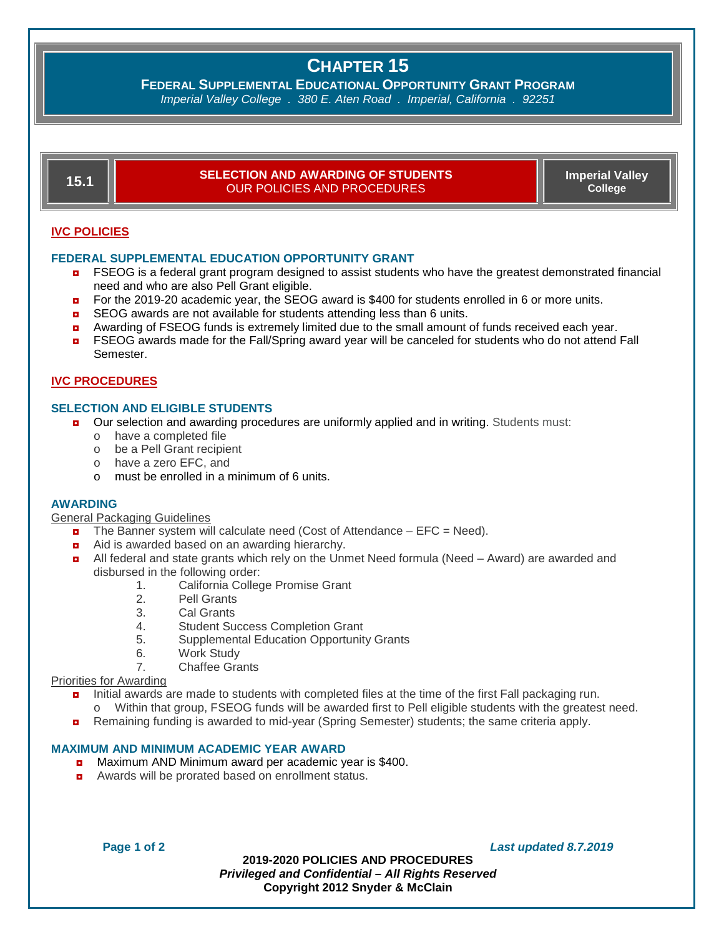# **CHAPTER 15**

**FEDERAL SUPPLEMENTAL EDUCATIONAL OPPORTUNITY GRANT PROGRAM**

*Imperial Valley College . 380 E. Aten Road . Imperial, California . 92251*

| 15.1                | <b>SELECTION AND AWARDING OF STUDENTS</b><br>OUR POLICIES AND PROCEDURES                                                                                                 | <b>Imperial Valley</b><br><b>College</b> |  |  |
|---------------------|--------------------------------------------------------------------------------------------------------------------------------------------------------------------------|------------------------------------------|--|--|
| <b>IVC POLICIES</b> |                                                                                                                                                                          |                                          |  |  |
|                     | <b>FEDERAL SUPPLEMENTAL EDUCATION OPPORTUNITY GRANT</b><br>$FPCCQ$ is a foderal graph program decisional to conist students who house the graphet demonstrated financial |                                          |  |  |

- FSEOG is a federal grant program designed to assist students who have the greatest demonstrated financial need and who are also Pell Grant eligible.
- **n** For the 2019-20 academic year, the SEOG award is \$400 for students enrolled in 6 or more units.
- SEOG awards are not available for students attending less than 6 units.
- **a** Awarding of FSEOG funds is extremely limited due to the small amount of funds received each year.
- **n** FSEOG awards made for the Fall/Spring award year will be canceled for students who do not attend Fall Semester.

# **IVC PROCEDURES**

# **SELECTION AND ELIGIBLE STUDENTS**

- **D** Our selection and awarding procedures are uniformly applied and in writing. Students must:
	- o have a completed file
	- o be a Pell Grant recipient
	- o have a zero EFC, and
	- o must be enrolled in a minimum of 6 units.

## **AWARDING**

General Packaging Guidelines

- $\blacksquare$  The Banner system will calculate need (Cost of Attendance EFC = Need).
- Aid is awarded based on an awarding hierarchy.
- **a** All federal and state grants which rely on the Unmet Need formula (Need Award) are awarded and disbursed in the following order:
	- California College Promise Grant
	- 2. Pell Grants
	- 3. Cal Grants<br>4 Student Su
	- Student Success Completion Grant
	- 5. Supplemental Education Opportunity Grants
	- 6. Work Study
	- 7. Chaffee Grants

## Priorities for Awarding

- **n** Initial awards are made to students with completed files at the time of the first Fall packaging run.
	- o Within that group, FSEOG funds will be awarded first to Pell eligible students with the greatest need.
- **n** Remaining funding is awarded to mid-year (Spring Semester) students; the same criteria apply.

## **MAXIMUM AND MINIMUM ACADEMIC YEAR AWARD**

- ◘ Maximum AND Minimum award per academic year is \$400.
- ◘ Awards will be prorated based on enrollment status.

**Page 1 of 2** *Last updated 8.7.2019*

**2019-2020 POLICIES AND PROCEDURES** *Privileged and Confidential – All Rights Reserved* **Copyright 2012 Snyder & McClain**